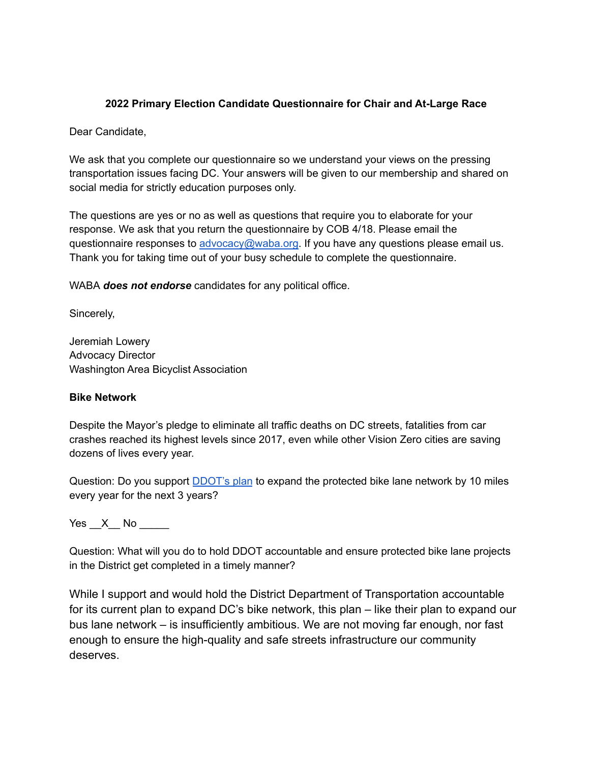## **2022 Primary Election Candidate Questionnaire for Chair and At-Large Race**

Dear Candidate,

We ask that you complete our questionnaire so we understand your views on the pressing transportation issues facing DC. Your answers will be given to our membership and shared on social media for strictly education purposes only.

The questions are yes or no as well as questions that require you to elaborate for your response. We ask that you return the questionnaire by COB 4/18. Please email the questionnaire responses to [advocacy@waba.org.](mailto:advocacy@waba.org) If you have any questions please email us. Thank you for taking time out of your busy schedule to complete the questionnaire.

WABA *does not endorse* candidates for any political office.

Sincerely,

Jeremiah Lowery Advocacy Director Washington Area Bicyclist Association

### **Bike Network**

Despite the Mayor's pledge to eliminate all traffic deaths on DC streets, fatalities from car crashes reached its highest levels since 2017, even while other Vision Zero cities are saving dozens of lives every year.

Question: Do you support **[DDOT's plan](https://ddot.dc.gov/page/bicycle-lanes)** to expand the protected bike lane network by 10 miles every year for the next 3 years?

Yes  $X$  No

Question: What will you do to hold DDOT accountable and ensure protected bike lane projects in the District get completed in a timely manner?

While I support and would hold the District Department of Transportation accountable for its current plan to expand DC's bike network, this plan – like their plan to expand our bus lane network – is insufficiently ambitious. We are not moving far enough, nor fast enough to ensure the high-quality and safe streets infrastructure our community deserves.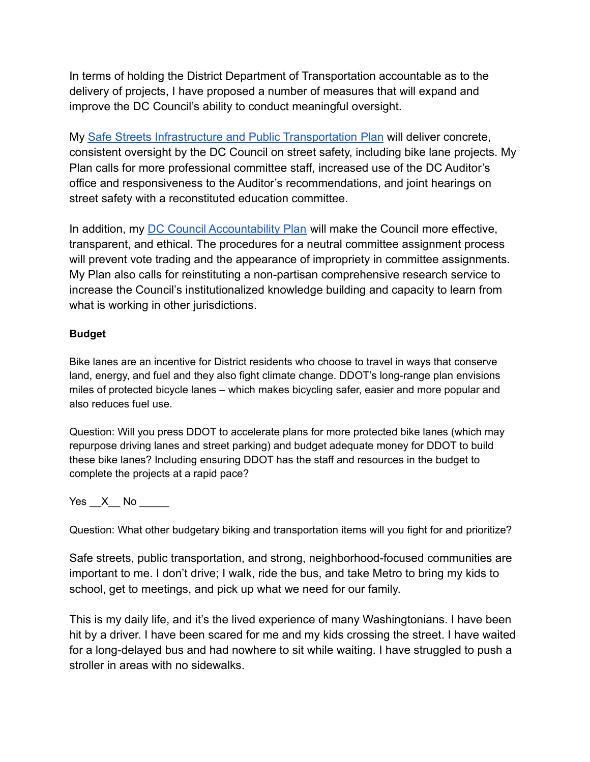In terms of holding the District Department of Transportation accountable as to the delivery of projects, I have proposed a number of measures that will expand and improve the DC Council's ability to conduct meaningful oversight.

My [Safe Streets Infrastructure and Public Transportation Plan](https://erinfordc.medium.com/erin-palmers-safe-streets-infrastructure-public-transportation-plan-2977cf283e34) will deliver concrete, consistent oversight by the DC Council on street safety, including bike lane projects. My Plan calls for more professional committee staff, increased use of the DC Auditor's office and responsiveness to the Auditor's recommendations, and joint hearings on street safety with a reconstituted education committee.

In addition, my [DC Council Accountability Plan](https://erinfordc.medium.com/dc-council-accountability-plan-bda504ae31f1) will make the Council more effective, transparent, and ethical. The procedures for a neutral committee assignment process will prevent vote trading and the appearance of impropriety in committee assignments. My Plan also calls for reinstituting a non-partisan comprehensive research service to increase the Council's institutionalized knowledge building and capacity to learn from what is working in other jurisdictions.

# **Budget**

Bike lanes are an incentive for District residents who choose to travel in ways that conserve land, energy, and fuel and they also fight climate change. DDOT's long-range plan envisions miles of protected bicycle lanes – which makes bicycling safer, easier and more popular and also reduces fuel use.

Question: Will you press DDOT to accelerate plans for more protected bike lanes (which may repurpose driving lanes and street parking) and budget adequate money for DDOT to build these bike lanes? Including ensuring DDOT has the staff and resources in the budget to complete the projects at a rapid pace?

Yes  $X$  No  $\blacksquare$ 

Question: What other budgetary biking and transportation items will you fight for and prioritize?

Safe streets, public transportation, and strong, neighborhood-focused communities are important to me. I don't drive; I walk, ride the bus, and take Metro to bring my kids to school, get to meetings, and pick up what we need for our family.

This is my daily life, and it's the lived experience of many Washingtonians. I have been hit by a driver. I have been scared for me and my kids crossing the street. I have waited for a long-delayed bus and had nowhere to sit while waiting. I have struggled to push a stroller in areas with no sidewalks.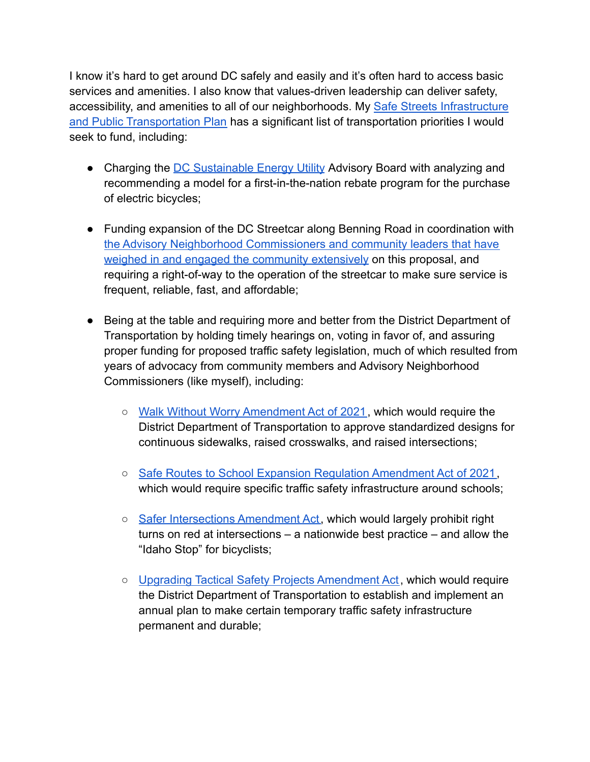I know it's hard to get around DC safely and easily and it's often hard to access basic services and amenities. I also know that values-driven leadership can deliver safety, accessibility, and amenities to all of our neighborhoods. My [Safe Streets Infrastructure](https://erinfordc.medium.com/erin-palmers-safe-streets-infrastructure-public-transportation-plan-2977cf283e34) [and Public Transportation Plan](https://erinfordc.medium.com/erin-palmers-safe-streets-infrastructure-public-transportation-plan-2977cf283e34) has a significant list of transportation priorities I would seek to fund, including:

- Charging the [DC Sustainable Energy Utility](https://doee.dc.gov/service/dc-sustainable-energy-utility-dcseu) Advisory Board with analyzing and recommending a model for a first-in-the-nation rebate program for the purchase of electric bicycles;
- Funding expansion of the DC Streetcar along Benning Road in coordination with [the Advisory Neighborhood Commissioners and community leaders that have](https://www.washingtoninformer.com/benning-road-streetcar-project-embraced-by-ward-7-residents/) [weighed in and engaged the community extensively](https://www.washingtoninformer.com/benning-road-streetcar-project-embraced-by-ward-7-residents/) on this proposal, and requiring a right-of-way to the operation of the streetcar to make sure service is frequent, reliable, fast, and affordable;
- Being at the table and requiring more and better from the District Department of Transportation by holding timely hearings on, voting in favor of, and assuring proper funding for proposed traffic safety legislation, much of which resulted from years of advocacy from community members and Advisory Neighborhood Commissioners (like myself), including:
	- [Walk Without Worry Amendment Act of 2021](https://lims.dccouncil.us/Legislation/B24-0566), which would require the District Department of Transportation to approve standardized designs for continuous sidewalks, raised crosswalks, and raised intersections;
	- [Safe Routes to School Expansion Regulation Amendment Act of 2021,](https://lims.dccouncil.us/Legislation/B24-0565) which would require specific traffic safety infrastructure around schools;
	- [Safer Intersections Amendment Act,](https://lims.dccouncil.us/Legislation/B24-0673) which would largely prohibit right turns on red at intersections – a nationwide best practice – and allow the "Idaho Stop" for bicyclists;
	- [Upgrading Tactical Safety Projects Amendment Act](https://lims.dccouncil.us/Legislation/B24-0674), which would require the District Department of Transportation to establish and implement an annual plan to make certain temporary traffic safety infrastructure permanent and durable;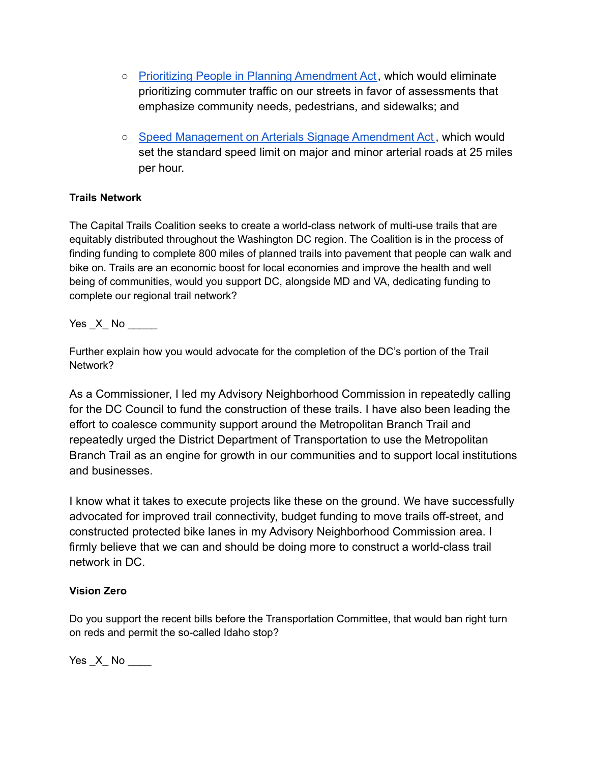- [Prioritizing People in Planning Amendment Act](https://lims.dccouncil.us/Legislation/B24-0675), which would eliminate prioritizing commuter traffic on our streets in favor of assessments that emphasize community needs, pedestrians, and sidewalks; and
- [Speed Management on Arterials Signage Amendment Act](https://lims.dccouncil.us/searchresult/documentSearch=false&searchString=Speed%20Management%20on%20Arterials%20Signage%20Amendment%20Act¤tPage=1¤tHeight=0), which would set the standard speed limit on major and minor arterial roads at 25 miles per hour.

## **Trails Network**

The Capital Trails Coalition seeks to create a world-class network of multi-use trails that are equitably distributed throughout the Washington DC region. The Coalition is in the process of finding funding to complete 800 miles of planned trails into pavement that people can walk and bike on. Trails are an economic boost for local economies and improve the health and well being of communities, would you support DC, alongside MD and VA, dedicating funding to complete our regional trail network?

Yes X No  $\blacksquare$ 

Further explain how you would advocate for the completion of the DC's portion of the Trail Network?

As a Commissioner, I led my Advisory Neighborhood Commission in repeatedly calling for the DC Council to fund the construction of these trails. I have also been leading the effort to coalesce community support around the Metropolitan Branch Trail and repeatedly urged the District Department of Transportation to use the Metropolitan Branch Trail as an engine for growth in our communities and to support local institutions and businesses.

I know what it takes to execute projects like these on the ground. We have successfully advocated for improved trail connectivity, budget funding to move trails off-street, and constructed protected bike lanes in my Advisory Neighborhood Commission area. I firmly believe that we can and should be doing more to construct a world-class trail network in DC.

## **Vision Zero**

Do you support the recent bills before the Transportation Committee, that would ban right turn on reds and permit the so-called Idaho stop?

 $Yes\_X$  No  $\_\_\_\_\$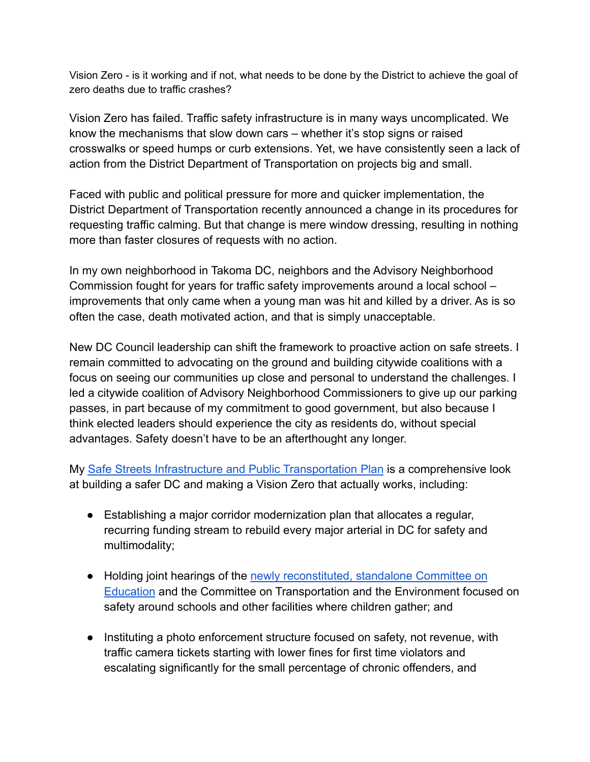Vision Zero - is it working and if not, what needs to be done by the District to achieve the goal of zero deaths due to traffic crashes?

Vision Zero has failed. Traffic safety infrastructure is in many ways uncomplicated. We know the mechanisms that slow down cars – whether it's stop signs or raised crosswalks or speed humps or curb extensions. Yet, we have consistently seen a lack of action from the District Department of Transportation on projects big and small.

Faced with public and political pressure for more and quicker implementation, the District Department of Transportation recently announced a change in its procedures for requesting traffic calming. But that change is mere window dressing, resulting in nothing more than faster closures of requests with no action.

In my own neighborhood in Takoma DC, neighbors and the Advisory Neighborhood Commission fought for years for traffic safety improvements around a local school – improvements that only came when a young man was hit and killed by a driver. As is so often the case, death motivated action, and that is simply unacceptable.

New DC Council leadership can shift the framework to proactive action on safe streets. I remain committed to advocating on the ground and building citywide coalitions with a focus on seeing our communities up close and personal to understand the challenges. I led a citywide coalition of Advisory Neighborhood Commissioners to give up our parking passes, in part because of my commitment to good government, but also because I think elected leaders should experience the city as residents do, without special advantages. Safety doesn't have to be an afterthought any longer.

My [Safe Streets Infrastructure and Public Transportation Plan](https://erinfordc.medium.com/erin-palmers-safe-streets-infrastructure-public-transportation-plan-2977cf283e34) is a comprehensive look at building a safer DC and making a Vision Zero that actually works, including:

- Establishing a major corridor modernization plan that allocates a regular, recurring funding stream to rebuild every major arterial in DC for safety and multimodality;
- Holding joint hearings of the [newly reconstituted, standalone Committee on](https://erinfordc.medium.com/dc-council-accountability-plan-bda504ae31f1) [Education](https://erinfordc.medium.com/dc-council-accountability-plan-bda504ae31f1) and the Committee on Transportation and the Environment focused on safety around schools and other facilities where children gather; and
- Instituting a photo enforcement structure focused on safety, not revenue, with traffic camera tickets starting with lower fines for first time violators and escalating significantly for the small percentage of chronic offenders, and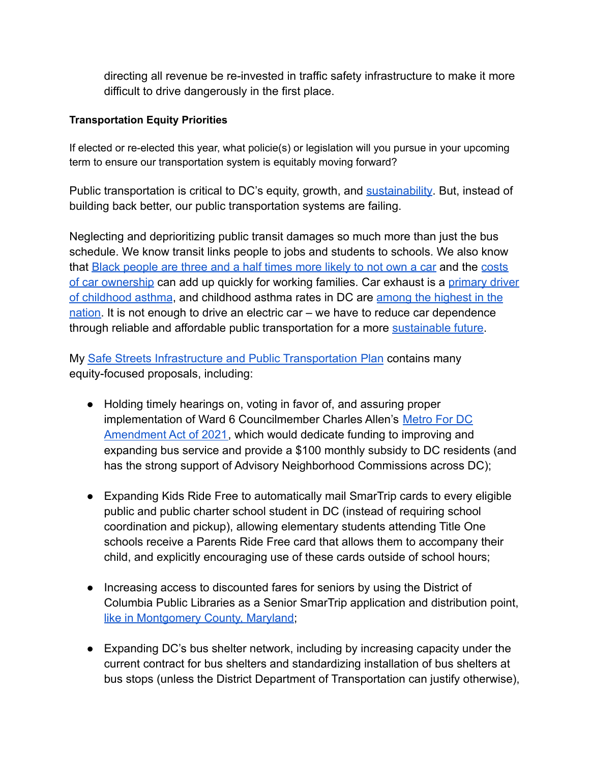directing all revenue be re-invested in traffic safety infrastructure to make it more difficult to drive dangerously in the first place.

# **Transportation Equity Priorities**

If elected or re-elected this year, what policie(s) or legislation will you pursue in your upcoming term to ensure our transportation system is equitably moving forward?

Public transportation is critical to DC's equity, growth, and [sustainability](https://t4america.org/2021/10/21/want-to-save-the-climate-start-by-funding-transit-operations/). But, instead of building back better, our public transportation systems are failing.

Neglecting and deprioritizing public transit damages so much more than just the bus schedule. We know transit links people to jobs and students to schools. We also know that [Black people are three and a half times more likely to not own a car](https://www.goodjobsfirst.org/smart-growth-working-families/connecting-jobs-public-transit) and the [costs](https://www.bloomberg.com/news/articles/2018-05-29/why-transit-rich-neighborhoods-are-more-affordable) [of car ownership](https://www.bloomberg.com/news/articles/2018-05-29/why-transit-rich-neighborhoods-are-more-affordable) can add up quickly for working families. Car exhaust is a [primary driver](https://www.popsci.com/car-exhaust-asthma-children/) [of childhood asthma](https://www.popsci.com/car-exhaust-asthma-children/), and childhood asthma rates in DC are [among the highest in the](https://www.urban.org/urban-wire/washington-dc-childhood-asthma-part-poverty-trap) [nation.](https://www.urban.org/urban-wire/washington-dc-childhood-asthma-part-poverty-trap) It is not enough to drive an electric car – we have to reduce car dependence through reliable and affordable public transportation for a more [sustainable future](https://t4america.org/2021/10/21/want-to-save-the-climate-start-by-funding-transit-operations/).

My [Safe Streets Infrastructure and Public Transportation Plan](https://erinfordc.medium.com/erin-palmers-safe-streets-infrastructure-public-transportation-plan-2977cf283e34) contains many equity-focused proposals, including:

- Holding timely hearings on, voting in favor of, and assuring proper implementation of Ward 6 Councilmember Charles Allen's [Metro For DC](https://www.metrofordc.com/) [Amendment Act of 2021,](https://www.metrofordc.com/) which would dedicate funding to improving and expanding bus service and provide a \$100 monthly subsidy to DC residents (and has the strong support of Advisory Neighborhood Commissions across DC);
- Expanding Kids Ride Free to automatically mail SmarTrip cards to every eligible public and public charter school student in DC (instead of requiring school coordination and pickup), allowing elementary students attending Title One schools receive a Parents Ride Free card that allows them to accompany their child, and explicitly encouraging use of these cards outside of school hours;
- Increasing access to discounted fares for seniors by using the District of Columbia Public Libraries as a Senior SmarTrip application and distribution point[,](https://www.wmata.com/fares/reduced.cfm) [like in Montgomery County, Maryland](https://www.wmata.com/fares/reduced.cfm),
- Expanding DC's bus shelter network, including by increasing capacity under the current contract for bus shelters and standardizing installation of bus shelters at bus stops (unless the District Department of Transportation can justify otherwise),